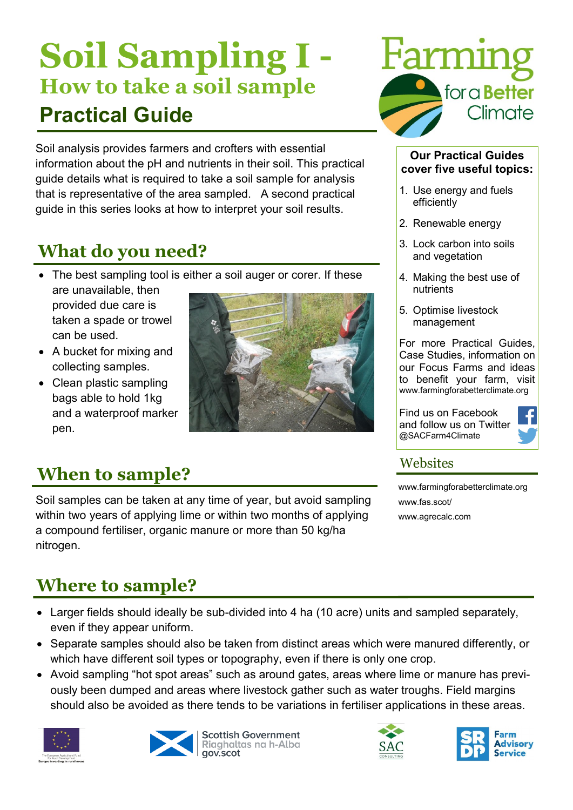# **Soil Sampling I - How to take a soil sample Practical Guide**

Soil analysis provides farmers and crofters with essential information about the pH and nutrients in their soil. This practical guide details what is required to take a soil sample for analysis that is representative of the area sampled. A second practical guide in this series looks at how to interpret your soil results.

## **What do you need?**

• The best sampling tool is either a soil auger or corer. If these

are unavailable, then provided due care is taken a spade or trowel can be used.

- A bucket for mixing and collecting samples.
- Clean plastic sampling bags able to hold 1kg and a waterproof marker pen.



## **When to sample?**

Soil samples can be taken at any time of year, but avoid sampling within two years of applying lime or within two months of applying a compound fertiliser, organic manure or more than 50 kg/ha nitrogen.



#### **Our Practical Guides cover five useful topics:**

- 1. Use energy and fuels efficiently
- 2. Renewable energy
- 3. Lock carbon into soils and vegetation
- 4. Making the best use of nutrients
- 5. Optimise livestock management

For more Practical Guides, Case Studies, information on our Focus Farms and ideas to benefit your farm, visit www.farmingforabetterclimate.org

Find us on Facebook and follow us on Twitter @SACFarm4Climate



### **Websites**

[www.farmingforabetterclimate.org](http://www.farmingforabetterclimate.org) www.fas.scot/ [www.agrecalc.com](http://www.agrecalc.com)

## **Where to sample?**

- Larger fields should ideally be sub-divided into 4 ha (10 acre) units and sampled separately, even if they appear uniform.
- Separate samples should also be taken from distinct areas which were manured differently, or which have different soil types or topography, even if there is only one crop.
- Avoid sampling "hot spot areas" such as around gates, areas where lime or manure has previously been dumped and areas where livestock gather such as water troughs. Field margins should also be avoided as there tends to be variations in fertiliser applications in these areas.





**Scottish Government** Riaghaltas na h-Alba gov.scot